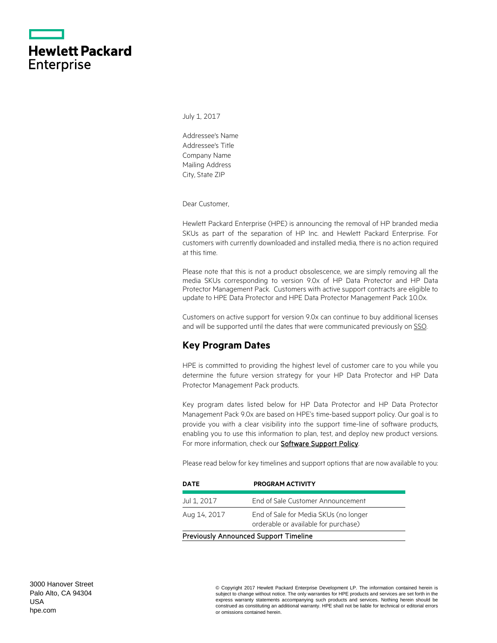|                   | <b>Hewlett Packard</b> |
|-------------------|------------------------|
| <b>Enterprise</b> |                        |

July 1, 2017

Addressee's Name Addressee's Title Company Name Mailing Address City, State ZIP

Dear Customer,

Hewlett Packard Enterprise (HPE) is announcing the removal of HP branded media SKUs as part of the separation of HP Inc. and Hewlett Packard Enterprise. For customers with currently downloaded and installed media, there is no action required at this time.

Please note that this is not a product obsolescence, we are simply removing all the media SKUs corresponding to version 9.0x of HP Data Protector and HP Data Protector Management Pack. Customers with active support contracts are eligible to update to HPE Data Protector and HPE Data Protector Management Pack 10.0x.

Customers on active support for version 9.0x can continue to buy additional licenses and will be supported until the dates that were communicated previously on [SSO.](https://softwaresupport.hpe.com/web/softwaresupport/obsolescence-migrations#tab2)

# **Key Program Dates**

HPE is committed to providing the highest level of customer care to you while you determine the future version strategy for your HP Data Protector and HP Data Protector Management Pack products.

Key program dates listed below for HP Data Protector and HP Data Protector Management Pack 9.0x are based on HPE's time-based support policy. Our goal is to provide you with a clear visibility into the support time-line of software products, enabling you to use this information to plan, test, and deploy new product versions. For more information, check our **Software Support Policy**.

Please read below for key timelines and support options that are now available to you:

| <b>DATE</b>                                  | <b>PROGRAM ACTIVITY</b>                                                       |
|----------------------------------------------|-------------------------------------------------------------------------------|
| Jul 1, 2017                                  | End of Sale Customer Announcement                                             |
| Aug 14, 2017                                 | End of Sale for Media SKUs (no longer<br>orderable or available for purchase) |
| <b>Previously Announced Support Timeline</b> |                                                                               |

3000 Hanover Street Palo Alto, CA 94304 USA [hpe.com](http://www.hpe.com/)

© Copyright 2017 Hewlett Packard Enterprise Development LP. The information contained herein is subject to change without notice. The only warranties for HPE products and services are set forth in the express warranty statements accompanying such products and services. Nothing herein should be construed as constituting an additional warranty. HPE shall not be liable for technical or editorial errors or omissions contained herein.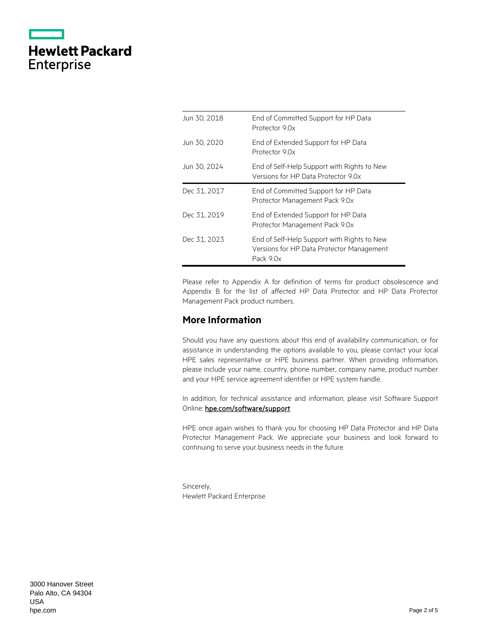|                   | <b>Hewlett Packard</b> |
|-------------------|------------------------|
| <b>Enterprise</b> |                        |

| Jun 30, 2018 | End of Committed Support for HP Data<br>Protector 9 Ox                                                |
|--------------|-------------------------------------------------------------------------------------------------------|
| Jun 30, 2020 | End of Extended Support for HP Data<br>Protector 9 Ox                                                 |
| Jun 30, 2024 | End of Self-Help Support with Rights to New<br>Versions for HP Data Protector 9.0x                    |
| Dec 31, 2017 | End of Committed Support for HP Data<br>Protector Management Pack 9.0x                                |
| Dec 31, 2019 | End of Extended Support for HP Data<br>Protector Management Pack 9.0x                                 |
| Dec 31, 2023 | End of Self-Help Support with Rights to New<br>Versions for HP Data Protector Management<br>Pack 9.0x |

Please refer to Appendix A for definition of terms for product obsolescence and Appendix B for the list of affected HP Data Protector and HP Data Protector Management Pack product numbers.

# **More Information**

Should you have any questions about this end of availability communication, or for assistance in understanding the options available to you, please contact your local HPE sales representative or HPE business partner. When providing information, please include your name, country, phone number, company name, product number and your HPE service agreement identifier or HPE system handle.

In addition, for technical assistance and information, please visit Software Support Online: [hpe.com/software/support](http://www.hpe.com/software/support) 

HPE once again wishes to thank you for choosing HP Data Protector and HP Data Protector Management Pack. We appreciate your business and look forward to continuing to serve your business needs in the future.

Sincerely, Hewlett Packard Enterprise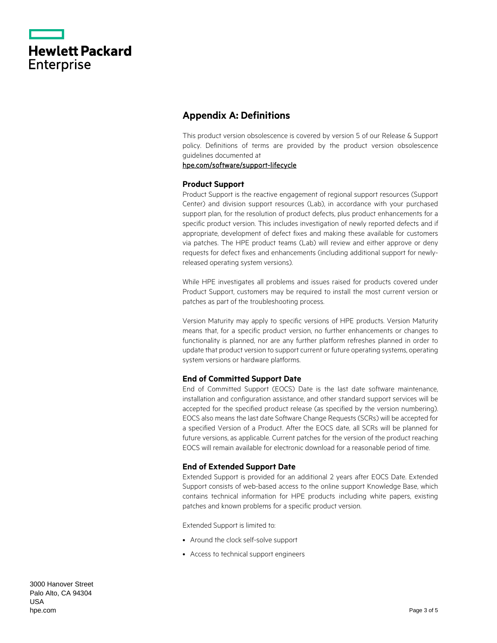|                   | <b>Hewlett Packard</b> |
|-------------------|------------------------|
| <b>Enterprise</b> |                        |

# **Appendix A: Definitions**

This product version obsolescence is covered by version 5 of our Release & Support policy. Definitions of terms are provided by the product version obsolescence guidelines documented at

### [hpe.com/software/support-lifecycle](https://www.hpe.com/software/support-lifecycle)

#### **Product Support**

Product Support is the reactive engagement of regional support resources (Support Center) and division support resources (Lab), in accordance with your purchased support plan, for the resolution of product defects, plus product enhancements for a specific product version. This includes investigation of newly reported defects and if appropriate, development of defect fixes and making these available for customers via patches. The HPE product teams (Lab) will review and either approve or deny requests for defect fixes and enhancements (including additional support for newlyreleased operating system versions).

While HPE investigates all problems and issues raised for products covered under Product Support, customers may be required to install the most current version or patches as part of the troubleshooting process.

Version Maturity may apply to specific versions of HPE products. Version Maturity means that, for a specific product version, no further enhancements or changes to functionality is planned, nor are any further platform refreshes planned in order to update that product version to support current or future operating systems, operating system versions or hardware platforms.

## **End of Committed Support Date**

End of Committed Support (EOCS) Date is the last date software maintenance, installation and configuration assistance, and other standard support services will be accepted for the specified product release (as specified by the version numbering). EOCS also means the last date Software Change Requests (SCRs) will be accepted for a specified Version of a Product. After the EOCS date, all SCRs will be planned for future versions, as applicable. Current patches for the version of the product reaching EOCS will remain available for electronic download for a reasonable period of time.

## **End of Extended Support Date**

Extended Support is provided for an additional 2 years after EOCS Date. Extended Support consists of web-based access to the online support Knowledge Base, which contains technical information for HPE products including white papers, existing patches and known problems for a specific product version.

Extended Support is limited to:

- Around the clock self-solve support
- Access to technical support engineers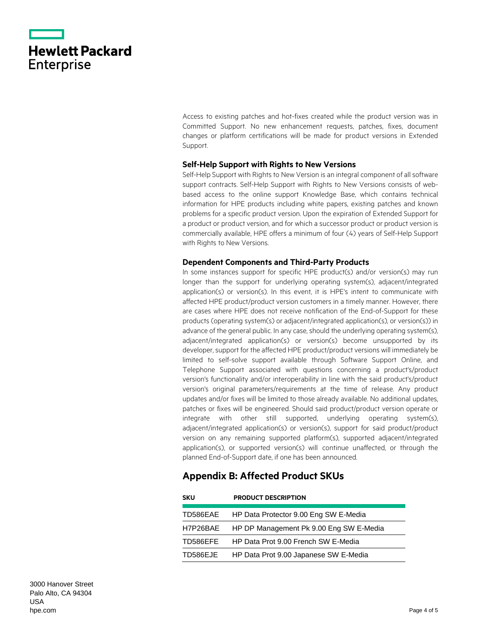|                   | <b>Hewlett Packard</b> |
|-------------------|------------------------|
| <b>Enterprise</b> |                        |

Access to existing patches and hot-fixes created while the product version was in Committed Support. No new enhancement requests, patches, fixes, document changes or platform certifications will be made for product versions in Extended Support.

#### **Self-Help Support with Rights to New Versions**

Self-Help Support with Rights to New Version is an integral component of all software support contracts. Self-Help Support with Rights to New Versions consists of webbased access to the online support Knowledge Base, which contains technical information for HPE products including white papers, existing patches and known problems for a specific product version. Upon the expiration of Extended Support for a product or product version, and for which a successor product or product version is commercially available, HPE offers a minimum of four (4) years of Self-Help Support with Rights to New Versions.

#### **Dependent Components and Third-Party Products**

In some instances support for specific HPE product(s) and/or version(s) may run longer than the support for underlying operating system(s), adjacent/integrated application(s) or version(s). In this event, it is HPE's intent to communicate with affected HPE product/product version customers in a timely manner. However, there are cases where HPE does not receive notification of the End-of-Support for these products (operating system(s) or adjacent/integrated application(s), or version(s)) in advance of the general public. In any case, should the underlying operating system(s), adjacent/integrated application(s) or version(s) become unsupported by its developer, support for the affected HPE product/product versions will immediately be limited to self-solve support available through Software Support Online, and Telephone Support associated with questions concerning a product's/product version's functionality and/or interoperability in line with the said product's/product version's original parameters/requirements at the time of release. Any product updates and/or fixes will be limited to those already available. No additional updates, patches or fixes will be engineered. Should said product/product version operate or integrate with other still supported, underlying operating system(s), adjacent/integrated application(s) or version(s), support for said product/product version on any remaining supported platform(s), supported adjacent/integrated application(s), or supported version(s) will continue unaffected, or through the planned End-of-Support date, if one has been announced.

# **Appendix B: Affected Product SKUs**

| <b>SKU</b> | <b>PRODUCT DESCRIPTION</b>                     |
|------------|------------------------------------------------|
|            | TD586EAE HP Data Protector 9.00 Eng SW E-Media |
| H7P26BAE   | HP DP Management Pk 9.00 Eng SW E-Media        |
| TD586EFE   | HP Data Prot 9.00 French SW E-Media            |
| TD586EJE   | HP Data Prot 9.00 Japanese SW E-Media          |